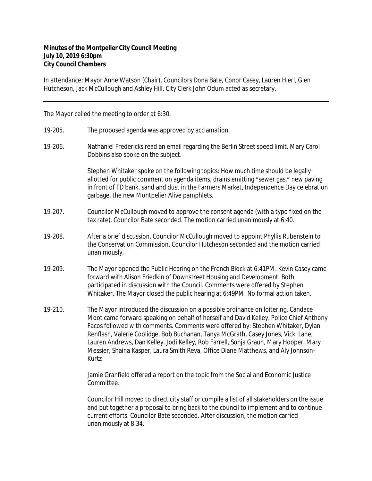## **Minutes of the Montpelier City Council Meeting July 10, 2019 6:30pm City Council Chambers**

In attendance: Mayor Anne Watson (Chair), Councilors Dona Bate, Conor Casey, Lauren Hierl, Glen Hutcheson, Jack McCullough and Ashley Hill. City Clerk John Odum acted as secretary.

The Mayor called the meeting to order at 6:30.

- 19-205. The proposed agenda was approved by acclamation.
- 19-206. Nathaniel Fredericks read an email regarding the Berlin Street speed limit. Mary Carol Dobbins also spoke on the subject.

Stephen Whitaker spoke on the following topics: How much time should be legally allotted for public comment on agenda items, drains emitting "sewer gas," new paving in front of TD bank, sand and dust in the Farmers Market, Independence Day celebration garbage, the new Montpelier Alive pamphlets.

- 19-207. Councilor McCullough moved to approve the consent agenda (with a typo fixed on the tax rate). Councilor Bate seconded. The motion carried unanimously at 6:40.
- 19-208. After a brief discussion, Councilor McCullough moved to appoint Phyllis Rubenstein to the Conservation Commission. Councilor Hutcheson seconded and the motion carried unanimously.
- 19-209. The Mayor opened the Public Hearing on the French Block at 6:41PM. Kevin Casey came forward with Alison Friedkin of Downstreet Housing and Development. Both participated in discussion with the Council. Comments were offered by Stephen Whitaker. The Mayor closed the public hearing at 6:49PM. No formal action taken.
- 19-210. The Mayor introduced the discussion on a possible ordinance on loitering. Candace Moot came forward speaking on behalf of herself and David Kelley. Police Chief Anthony Facos followed with comments. Comments were offered by: Stephen Whitaker, Dylan Renflash, Valerie Coolidge, Bob Buchanan, Tanya McGrath, Casey Jones, Vicki Lane, Lauren Andrews, Dan Kelley, Jodi Kelley, Rob Farrell, Sonja Graun, Mary Hooper, Mary Messier, Shaina Kasper, Laura Smith Reva, Office Diane Matthews, and Aly Johnson-Kurtz

Jamie Granfield offered a report on the topic from the Social and Economic Justice Committee.

Councilor Hill moved to direct city staff or compile a list of all stakeholders on the issue and put together a proposal to bring back to the council to implement and to continue current efforts. Councilor Bate seconded. After discussion, the motion carried unanimously at 8:34.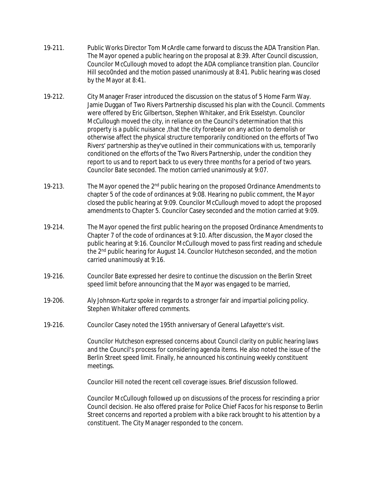- 19-211. Public Works Director Tom McArdle came forward to discuss the ADA Transition Plan. The Mayor opened a public hearing on the proposal at 8:39. After Council discussion, Councilor McCullough moved to adopt the ADA compliance transition plan. Councilor Hill seco0nded and the motion passed unanimously at 8:41. Public hearing was closed by the Mayor at 8:41.
- 19-212. City Manager Fraser introduced the discussion on the status of 5 Home Farm Way. Jamie Duggan of Two Rivers Partnership discussed his plan with the Council. Comments were offered by Eric Gilbertson, Stephen Whitaker, and Erik Esselstyn. Councilor McCullough moved the city, in reliance on the Council's determination that this property is a public nuisance ,that the city forebear on any action to demolish or otherwise affect the physical structure temporarily conditioned on the efforts of Two Rivers' partnership as they've outlined in their communications with us, temporarily conditioned on the efforts of the Two Rivers Partnership, under the condition they report to us and to report back to us every three months for a period of two years. Councilor Bate seconded. The motion carried unanimously at 9:07.
- 19-213. The Mayor opened the  $2<sup>nd</sup>$  public hearing on the proposed Ordinance Amendments to chapter 5 of the code of ordinances at 9:08. Hearing no public comment, the Mayor closed the public hearing at 9:09. Councilor McCullough moved to adopt the proposed amendments to Chapter 5. Councilor Casey seconded and the motion carried at 9:09.
- 19-214. The Mayor opened the first public hearing on the proposed Ordinance Amendments to Chapter 7 of the code of ordinances at 9:10. After discussion, the Mayor closed the public hearing at 9:16. Councilor McCullough moved to pass first reading and schedule the 2<sup>nd</sup> public hearing for August 14. Councilor Hutcheson seconded, and the motion carried unanimously at 9:16.
- 19-216. Councilor Bate expressed her desire to continue the discussion on the Berlin Street speed limit before announcing that the Mayor was engaged to be married,
- 19-206. Aly Johnson-Kurtz spoke in regards to a stronger fair and impartial policing policy. Stephen Whitaker offered comments.
- 19-216. Councilor Casey noted the 195th anniversary of General Lafayette's visit.

Councilor Hutcheson expressed concerns about Council clarity on public hearing laws and the Council's process for considering agenda items. He also noted the issue of the Berlin Street speed limit. Finally, he announced his continuing weekly constituent meetings.

Councilor Hill noted the recent cell coverage issues. Brief discussion followed.

Councilor McCullough followed up on discussions of the process for rescinding a prior Council decision. He also offered praise for Police Chief Facos for his response to Berlin Street concerns and reported a problem with a bike rack brought to his attention by a constituent. The City Manager responded to the concern.